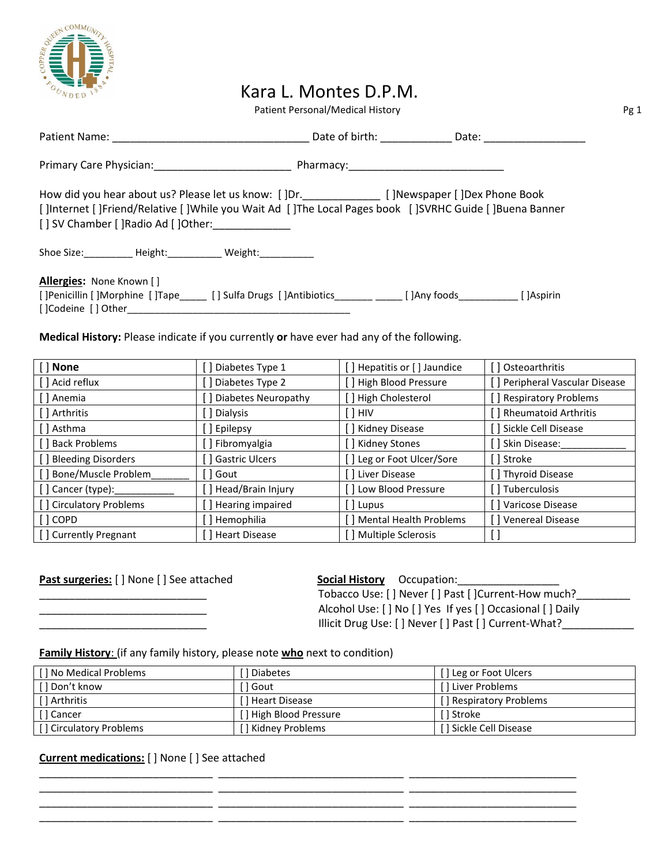

## Kara L. Montes D.P.M.

Patient Personal/Medical History **Patient Personal/Medical History Pg 1** 

| How did you hear about us? Please let us know: []Dr.________________ []Newspaper []Dex Phone Book<br>[JInternet [JFriend/Relative [JWhile you Wait Ad [JThe Local Pages book [JSVRHC Guide [JBuena Banner<br>[ ] SV Chamber [ ]Radio Ad [ ]Other: |  |  |  |  |  |
|---------------------------------------------------------------------------------------------------------------------------------------------------------------------------------------------------------------------------------------------------|--|--|--|--|--|
| Shoe Size: Meight: Meight: Meight:                                                                                                                                                                                                                |  |  |  |  |  |
| Allergies: None Known []<br>[] Penicillin [] Morphine [] Tape [1] Sulfa Drugs [] Antibiotics [2] [2] Any foods [2] [2] [2] [2] [                                                                                                                  |  |  |  |  |  |

**Medical History:** Please indicate if you currently **or** have ever had any of the following.

| [ ] None                | Diabetes Type 1       | Hepatitis or [] Jaundice  | [] Osteoarthritis              |
|-------------------------|-----------------------|---------------------------|--------------------------------|
| [ ] Acid reflux         | Diabetes Type 2       | [] High Blood Pressure    | [] Peripheral Vascular Disease |
| [ ] Anemia              | Diabetes Neuropathy   | [] High Cholesterol       | [] Respiratory Problems        |
| [ ] Arthritis           | ] Dialysis            | ' 1 HIV                   | [] Rheumatoid Arthritis        |
| [] Asthma               | Epilepsy              | Kidney Disease            | [] Sickle Cell Disease         |
| [ ] Back Problems       | ] Fibromyalgia        | [ ] Kidney Stones         | [] Skin Disease:               |
| [] Bleeding Disorders   | <b>Gastric Ulcers</b> | ] Leg or Foot Ulcer/Sore  | [ ] Stroke                     |
| [] Bone/Muscle Problem  | ] Gout                | [ Liver Disease           | [] Thyroid Disease             |
| $[$ ] Cancer (type):    | [ ] Head/Brain Injury | [ ] Low Blood Pressure    | [] Tuberculosis                |
| [] Circulatory Problems | Hearing impaired      | [ ] Lupus                 | [] Varicose Disease            |
| [ ] COPD                | Hemophilia            | [] Mental Health Problems | [] Venereal Disease            |
| [] Currently Pregnant   | Heart Disease         | J Multiple Sclerosis      |                                |

**Past surgeries:** [ ] None [ ] See attached **Social History** Occupation: Tobacco Use: [ ] Never [ ] Past [ ]Current-How much?\_\_\_\_\_\_\_\_\_\_\_\_\_\_\_\_\_\_\_\_\_\_\_\_\_\_\_\_ Alcohol Use: [ ] No [ ] Yes If yes [ ] Occasional [ ] Daily \_\_\_\_\_\_\_\_\_\_\_\_\_\_\_\_\_\_\_\_\_\_\_\_\_\_\_\_ Illicit Drug Use: [ ] Never [ ] Past [ ] Current-What?\_\_\_\_\_\_\_\_\_\_\_\_

**Family History**: (if any family history, please note **who** next to condition)

| [] No Medical Problems  | 1 Diabetes              | [ ] Leg or Foot Ulcers  |
|-------------------------|-------------------------|-------------------------|
| [ ] Don't know          | l Gout                  | [ ] Liver Problems      |
| [ ] Arthritis           |                         | [] Respiratory Problems |
| [] Cancer               | [ ] High Blood Pressure | [ ] Stroke              |
| [] Circulatory Problems | 「] Kidney Problems      | [ ] Sickle Cell Disease |

\_\_\_\_\_\_\_\_\_\_\_\_\_\_\_\_\_\_\_\_\_\_\_\_\_\_\_\_\_ \_\_\_\_\_\_\_\_\_\_\_\_\_\_\_\_\_\_\_\_\_\_\_\_\_\_\_\_\_\_\_ \_\_\_\_\_\_\_\_\_\_\_\_\_\_\_\_\_\_\_\_\_\_\_\_\_\_\_\_ \_\_\_\_\_\_\_\_\_\_\_\_\_\_\_\_\_\_\_\_\_\_\_\_\_\_\_\_\_ \_\_\_\_\_\_\_\_\_\_\_\_\_\_\_\_\_\_\_\_\_\_\_\_\_\_\_\_\_\_\_ \_\_\_\_\_\_\_\_\_\_\_\_\_\_\_\_\_\_\_\_\_\_\_\_\_\_\_\_ \_\_\_\_\_\_\_\_\_\_\_\_\_\_\_\_\_\_\_\_\_\_\_\_\_\_\_\_\_ \_\_\_\_\_\_\_\_\_\_\_\_\_\_\_\_\_\_\_\_\_\_\_\_\_\_\_\_\_\_\_ \_\_\_\_\_\_\_\_\_\_\_\_\_\_\_\_\_\_\_\_\_\_\_\_\_\_\_\_ \_\_\_\_\_\_\_\_\_\_\_\_\_\_\_\_\_\_\_\_\_\_\_\_\_\_\_\_\_ \_\_\_\_\_\_\_\_\_\_\_\_\_\_\_\_\_\_\_\_\_\_\_\_\_\_\_\_\_\_\_ \_\_\_\_\_\_\_\_\_\_\_\_\_\_\_\_\_\_\_\_\_\_\_\_\_\_\_\_

**Current medications:** [ ] None [ ] See attached